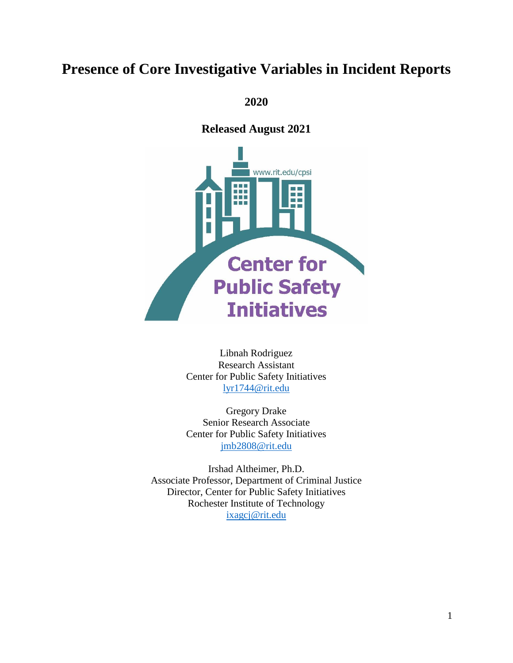# **Presence of Core Investigative Variables in Incident Reports**

**2020**

**Released August 2021**



Libnah Rodriguez Research Assistant Center for Public Safety Initiatives [lyr1744@rit.edu](mailto:lyr1744@rit.edu)

Gregory Drake Senior Research Associate Center for Public Safety Initiatives [jmb2808@rit.edu](mailto:jmb2808@rit.edu)

Irshad Altheimer, Ph.D. Associate Professor, Department of Criminal Justice Director, Center for Public Safety Initiatives Rochester Institute of Technology [ixagcj@rit.edu](mailto:ixagcj@rit.edu)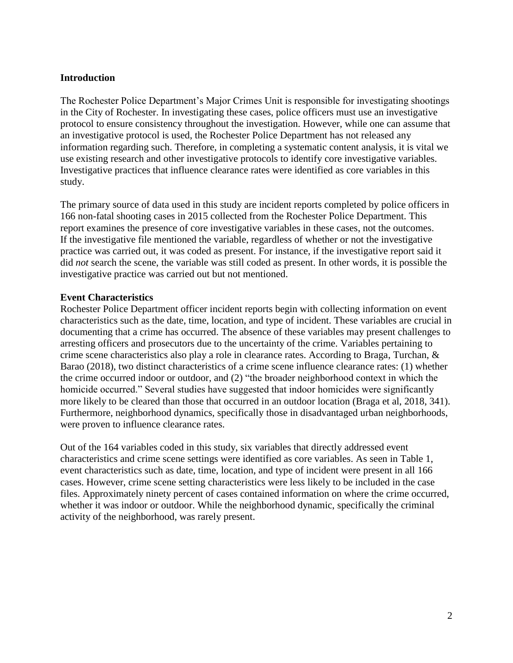#### **Introduction**

The Rochester Police Department's Major Crimes Unit is responsible for investigating shootings in the City of Rochester. In investigating these cases, police officers must use an investigative protocol to ensure consistency throughout the investigation. However, while one can assume that an investigative protocol is used, the Rochester Police Department has not released any information regarding such. Therefore, in completing a systematic content analysis, it is vital we use existing research and other investigative protocols to identify core investigative variables. Investigative practices that influence clearance rates were identified as core variables in this study.

The primary source of data used in this study are incident reports completed by police officers in 166 non-fatal shooting cases in 2015 collected from the Rochester Police Department. This report examines the presence of core investigative variables in these cases, not the outcomes. If the investigative file mentioned the variable, regardless of whether or not the investigative practice was carried out, it was coded as present. For instance, if the investigative report said it did *not* search the scene, the variable was still coded as present. In other words, it is possible the investigative practice was carried out but not mentioned.

#### **Event Characteristics**

Rochester Police Department officer incident reports begin with collecting information on event characteristics such as the date, time, location, and type of incident. These variables are crucial in documenting that a crime has occurred. The absence of these variables may present challenges to arresting officers and prosecutors due to the uncertainty of the crime. Variables pertaining to crime scene characteristics also play a role in clearance rates. According to Braga, Turchan, & Barao (2018), two distinct characteristics of a crime scene influence clearance rates: (1) whether the crime occurred indoor or outdoor, and (2) "the broader neighborhood context in which the homicide occurred." Several studies have suggested that indoor homicides were significantly more likely to be cleared than those that occurred in an outdoor location (Braga et al, 2018, 341). Furthermore, neighborhood dynamics, specifically those in disadvantaged urban neighborhoods, were proven to influence clearance rates.

Out of the 164 variables coded in this study, six variables that directly addressed event characteristics and crime scene settings were identified as core variables. As seen in Table 1, event characteristics such as date, time, location, and type of incident were present in all 166 cases. However, crime scene setting characteristics were less likely to be included in the case files. Approximately ninety percent of cases contained information on where the crime occurred, whether it was indoor or outdoor. While the neighborhood dynamic, specifically the criminal activity of the neighborhood, was rarely present.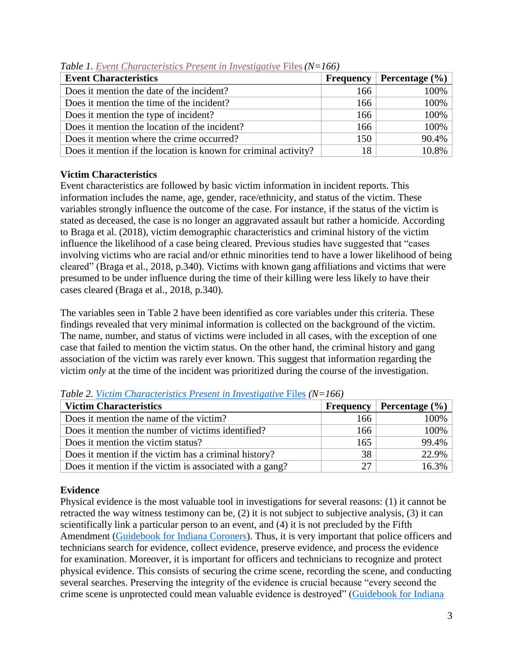| <b>Event Characteristics</b>                                    | <b>Frequency</b> | Percentage $(\% )$ |
|-----------------------------------------------------------------|------------------|--------------------|
| Does it mention the date of the incident?                       | 166              | 100%               |
| Does it mention the time of the incident?                       | 166              | 100%               |
| Does it mention the type of incident?                           | 166              | 100%               |
| Does it mention the location of the incident?                   | 166              | 100%               |
| Does it mention where the crime occurred?                       | 150              | 90.4%              |
| Does it mention if the location is known for criminal activity? | 18               | 10.8%              |

*Table 1. [Event Characteristics Present in Investigative](https://infogram.com/dashboard-red-1hkv2n1l1p7p6x3?live)* Files*(N=166)*

# **Victim Characteristics**

Event characteristics are followed by basic victim information in incident reports. This information includes the name, age, gender, race/ethnicity, and status of the victim. These variables strongly influence the outcome of the case. For instance, if the status of the victim is stated as deceased, the case is no longer an aggravated assault but rather a homicide. According to Braga et al. (2018), victim demographic characteristics and criminal history of the victim influence the likelihood of a case being cleared. Previous studies have suggested that "cases involving victims who are racial and/or ethnic minorities tend to have a lower likelihood of being cleared" (Braga et al., 2018, p.340). Victims with known gang affiliations and victims that were presumed to be under influence during the time of their killing were less likely to have their cases cleared (Braga et al., 2018, p.340).

The variables seen in Table 2 have been identified as core variables under this criteria. These findings revealed that very minimal information is collected on the background of the victim. The name, number, and status of victims were included in all cases, with the exception of one case that failed to mention the victim status. On the other hand, the criminal history and gang association of the victim was rarely ever known. This suggest that information regarding the victim *only* at the time of the incident was prioritized during the course of the investigation.

| <b>Victim Characteristics</b>                            | <b>Frequency</b> | <b>Percentage</b> $(\% )$ |
|----------------------------------------------------------|------------------|---------------------------|
| Does it mention the name of the victim?                  | 166              | 100%                      |
| Does it mention the number of victims identified?        | 166              | 100%                      |
| Does it mention the victim status?                       | 165              | 99.4%                     |
| Does it mention if the victim has a criminal history?    | 38               | 22.9%                     |
| Does it mention if the victim is associated with a gang? | 27               | 16.3%                     |

*Table 2. Victim [Characteristics Present in Investigative](https://infogram.com/dashboard-red-1hkv2n1l1p7p6x3?live)* Files *(N=166)*

# **Evidence**

Physical evidence is the most valuable tool in investigations for several reasons: (1) it cannot be retracted the way witness testimony can be, (2) it is not subject to subjective analysis, (3) it can scientifically link a particular person to an event, and (4) it is not precluded by the Fifth Amendment [\(Guidebook for Indiana Coroners\)](https://www.in.gov/ctb/files/section301.pdf). Thus, it is very important that police officers and technicians search for evidence, collect evidence, preserve evidence, and process the evidence for examination. Moreover, it is important for officers and technicians to recognize and protect physical evidence. This consists of securing the crime scene, recording the scene, and conducting several searches. Preserving the integrity of the evidence is crucial because "every second the crime scene is unprotected could mean valuable evidence is destroyed" [\(Guidebook for Indiana](https://www.in.gov/ctb/files/section301.pdf)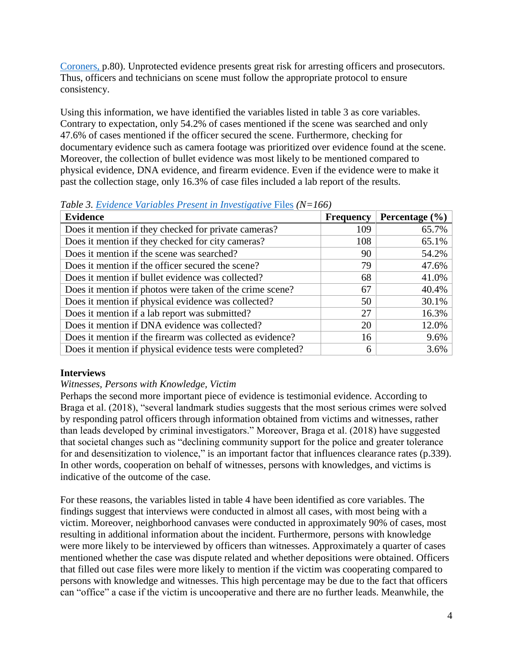[Coroners,](https://www.in.gov/ctb/files/section301.pdf) p.80). Unprotected evidence presents great risk for arresting officers and prosecutors. Thus, officers and technicians on scene must follow the appropriate protocol to ensure consistency.

Using this information, we have identified the variables listed in table 3 as core variables. Contrary to expectation, only 54.2% of cases mentioned if the scene was searched and only 47.6% of cases mentioned if the officer secured the scene. Furthermore, checking for documentary evidence such as camera footage was prioritized over evidence found at the scene. Moreover, the collection of bullet evidence was most likely to be mentioned compared to physical evidence, DNA evidence, and firearm evidence. Even if the evidence were to make it past the collection stage, only 16.3% of case files included a lab report of the results.

| <b>Evidence</b>                                            | <b>Frequency</b> | Percentage $(\% )$ |
|------------------------------------------------------------|------------------|--------------------|
| Does it mention if they checked for private cameras?       | 109              | 65.7%              |
| Does it mention if they checked for city cameras?          | 108              | 65.1%              |
| Does it mention if the scene was searched?                 | 90               | 54.2%              |
| Does it mention if the officer secured the scene?          | 79               | 47.6%              |
| Does it mention if bullet evidence was collected?          | 68               | 41.0%              |
| Does it mention if photos were taken of the crime scene?   | 67               | 40.4%              |
| Does it mention if physical evidence was collected?        | 50               | 30.1%              |
| Does it mention if a lab report was submitted?             | 27               | 16.3%              |
| Does it mention if DNA evidence was collected?             | 20               | 12.0%              |
| Does it mention if the firearm was collected as evidence?  | 16               | 9.6%               |
| Does it mention if physical evidence tests were completed? | 6                | 3.6%               |

*Table 3. Evidence Variables [Present in Investigative](https://infogram.com/dashboard-red-1hkv2n1l1p7p6x3?live)* Files *(N=166)*

### **Interviews**

### *Witnesses, Persons with Knowledge, Victim*

Perhaps the second more important piece of evidence is testimonial evidence. According to Braga et al. (2018), "several landmark studies suggests that the most serious crimes were solved by responding patrol officers through information obtained from victims and witnesses, rather than leads developed by criminal investigators." Moreover, Braga et al. (2018) have suggested that societal changes such as "declining community support for the police and greater tolerance for and desensitization to violence," is an important factor that influences clearance rates (p.339). In other words, cooperation on behalf of witnesses, persons with knowledges, and victims is indicative of the outcome of the case.

For these reasons, the variables listed in table 4 have been identified as core variables. The findings suggest that interviews were conducted in almost all cases, with most being with a victim. Moreover, neighborhood canvases were conducted in approximately 90% of cases, most resulting in additional information about the incident. Furthermore, persons with knowledge were more likely to be interviewed by officers than witnesses. Approximately a quarter of cases mentioned whether the case was dispute related and whether depositions were obtained. Officers that filled out case files were more likely to mention if the victim was cooperating compared to persons with knowledge and witnesses. This high percentage may be due to the fact that officers can "office" a case if the victim is uncooperative and there are no further leads. Meanwhile, the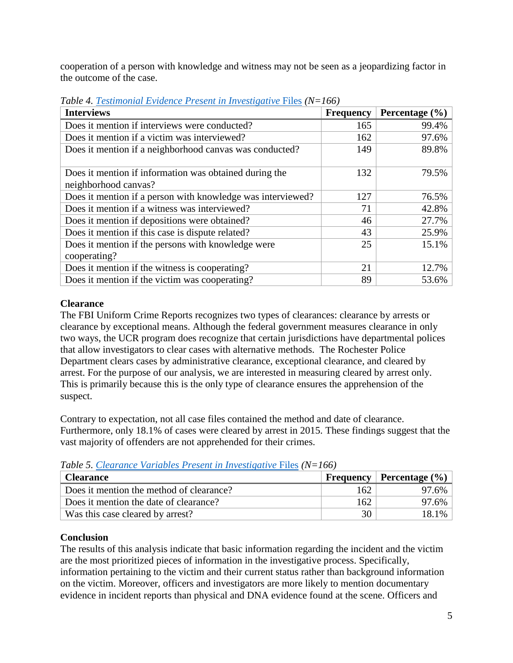cooperation of a person with knowledge and witness may not be seen as a jeopardizing factor in the outcome of the case.

| <b>Interviews</b>                                                              | <b>Frequency</b> | Percentage $(\% )$ |
|--------------------------------------------------------------------------------|------------------|--------------------|
| Does it mention if interviews were conducted?                                  | 165              | 99.4%              |
| Does it mention if a victim was interviewed?                                   | 162              | 97.6%              |
| Does it mention if a neighborhood canvas was conducted?                        | 149              | 89.8%              |
| Does it mention if information was obtained during the<br>neighborhood canvas? | 132              | 79.5%              |
| Does it mention if a person with knowledge was interviewed?                    | 127              | 76.5%              |
| Does it mention if a witness was interviewed?                                  | 71               | 42.8%              |
| Does it mention if depositions were obtained?                                  | 46               | 27.7%              |
| Does it mention if this case is dispute related?                               | 43               | 25.9%              |
| Does it mention if the persons with knowledge were<br>cooperating?             | 25               | 15.1%              |
| Does it mention if the witness is cooperating?                                 | 21               | 12.7%              |
| Does it mention if the victim was cooperating?                                 | 89               | 53.6%              |

*Table 4. Testimonial Evidence [Present in Investigative](https://infogram.com/dashboard-red-1hkv2n1l1p7p6x3?live)* Files *(N=166)*

## **Clearance**

The FBI Uniform Crime Reports recognizes two types of clearances: clearance by arrests or clearance by exceptional means. Although the federal government measures clearance in only two ways, the UCR program does recognize that certain jurisdictions have departmental polices that allow investigators to clear cases with alternative methods. The Rochester Police Department clears cases by administrative clearance, exceptional clearance, and cleared by arrest. For the purpose of our analysis, we are interested in measuring cleared by arrest only. This is primarily because this is the only type of clearance ensures the apprehension of the suspect.

Contrary to expectation, not all case files contained the method and date of clearance. Furthermore, only 18.1% of cases were cleared by arrest in 2015. These findings suggest that the vast majority of offenders are not apprehended for their crimes.

| <b>Clearance</b>                         |      | <b>Frequency</b> Percentage $(\% )$ |
|------------------------------------------|------|-------------------------------------|
| Does it mention the method of clearance? | 162. | 97.6%                               |
| Does it mention the date of clearance?   | 162  | 97.6%                               |
| Was this case cleared by arrest?         | 30   | 18.1%                               |

*Table 5. Clearance Variables [Present in Investigative](https://infogram.com/dashboard-red-1hkv2n1l1p7p6x3?live)* Files *(N=166)* 

# **Conclusion**

The results of this analysis indicate that basic information regarding the incident and the victim are the most prioritized pieces of information in the investigative process. Specifically, information pertaining to the victim and their current status rather than background information on the victim. Moreover, officers and investigators are more likely to mention documentary evidence in incident reports than physical and DNA evidence found at the scene. Officers and